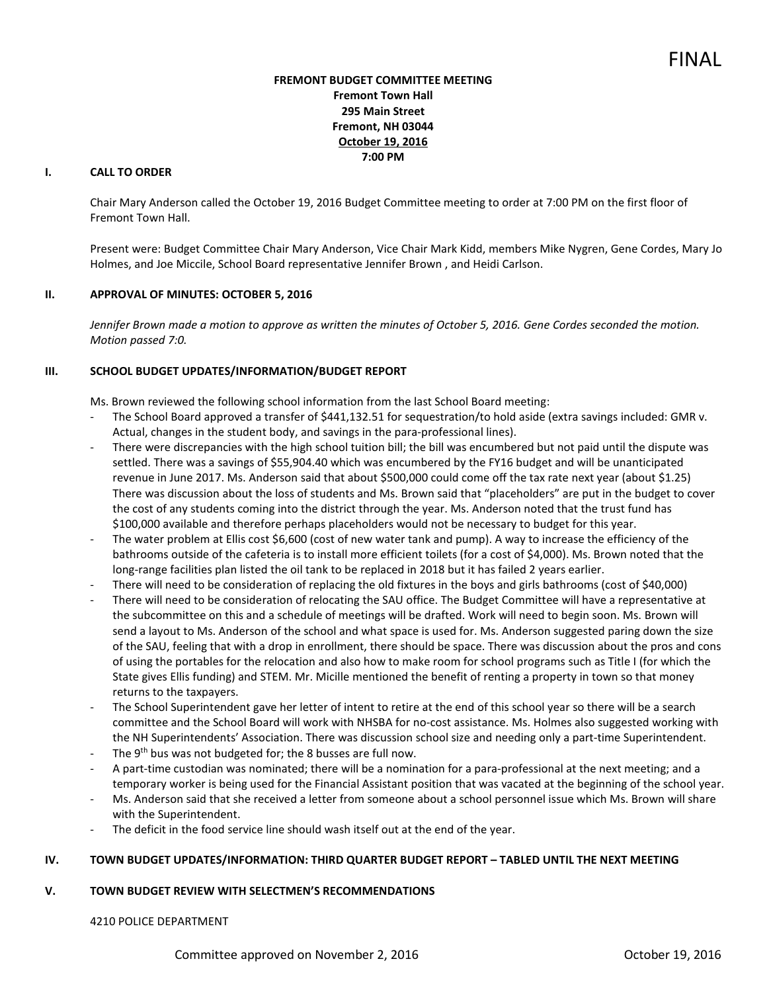# **FREMONT BUDGET COMMITTEE MEETING Fremont Town Hall 295 Main Street Fremont, NH 03044 October 19, 2016 7:00 PM**

# **I. CALL TO ORDER**

Chair Mary Anderson called the October 19, 2016 Budget Committee meeting to order at 7:00 PM on the first floor of Fremont Town Hall.

Present were: Budget Committee Chair Mary Anderson, Vice Chair Mark Kidd, members Mike Nygren, Gene Cordes, Mary Jo Holmes, and Joe Miccile, School Board representative Jennifer Brown , and Heidi Carlson.

## **II. APPROVAL OF MINUTES: OCTOBER 5, 2016**

Jennifer Brown made a motion to approve as written the minutes of October 5, 2016. Gene Cordes seconded the motion. *Motion passed 7:0.* 

# **III. SCHOOL BUDGET UPDATES/INFORMATION/BUDGET REPORT**

Ms. Brown reviewed the following school information from the last School Board meeting:

- The School Board approved a transfer of \$441,132.51 for sequestration/to hold aside (extra savings included: GMR v. Actual, changes in the student body, and savings in the para-professional lines).
- There were discrepancies with the high school tuition bill; the bill was encumbered but not paid until the dispute was settled. There was a savings of \$55,904.40 which was encumbered by the FY16 budget and will be unanticipated revenue in June 2017. Ms. Anderson said that about \$500,000 could come off the tax rate next year (about \$1.25) There was discussion about the loss of students and Ms. Brown said that "placeholders" are put in the budget to cover the cost of any students coming into the district through the year. Ms. Anderson noted that the trust fund has \$100,000 available and therefore perhaps placeholders would not be necessary to budget for this year.
- The water problem at Ellis cost \$6,600 (cost of new water tank and pump). A way to increase the efficiency of the bathrooms outside of the cafeteria is to install more efficient toilets (for a cost of \$4,000). Ms. Brown noted that the long-range facilities plan listed the oil tank to be replaced in 2018 but it has failed 2 years earlier.
- There will need to be consideration of replacing the old fixtures in the boys and girls bathrooms (cost of \$40,000)
- There will need to be consideration of relocating the SAU office. The Budget Committee will have a representative at the subcommittee on this and a schedule of meetings will be drafted. Work will need to begin soon. Ms. Brown will send a layout to Ms. Anderson of the school and what space is used for. Ms. Anderson suggested paring down the size of the SAU, feeling that with a drop in enrollment, there should be space. There was discussion about the pros and cons of using the portables for the relocation and also how to make room for school programs such as Title I (for which the State gives Ellis funding) and STEM. Mr. Micille mentioned the benefit of renting a property in town so that money returns to the taxpayers.
- The School Superintendent gave her letter of intent to retire at the end of this school year so there will be a search committee and the School Board will work with NHSBA for no-cost assistance. Ms. Holmes also suggested working with the NH Superintendents' Association. There was discussion school size and needing only a part-time Superintendent.
- The 9<sup>th</sup> bus was not budgeted for; the 8 busses are full now.
- A part-time custodian was nominated; there will be a nomination for a para-professional at the next meeting; and a temporary worker is being used for the Financial Assistant position that was vacated at the beginning of the school year.
- Ms. Anderson said that she received a letter from someone about a school personnel issue which Ms. Brown will share with the Superintendent.
- The deficit in the food service line should wash itself out at the end of the year.

# **IV. TOWN BUDGET UPDATES/INFORMATION: THIRD QUARTER BUDGET REPORT – TABLED UNTIL THE NEXT MEETING**

## **V. TOWN BUDGET REVIEW WITH SELECTMEN'S RECOMMENDATIONS**

## 4210 POLICE DEPARTMENT